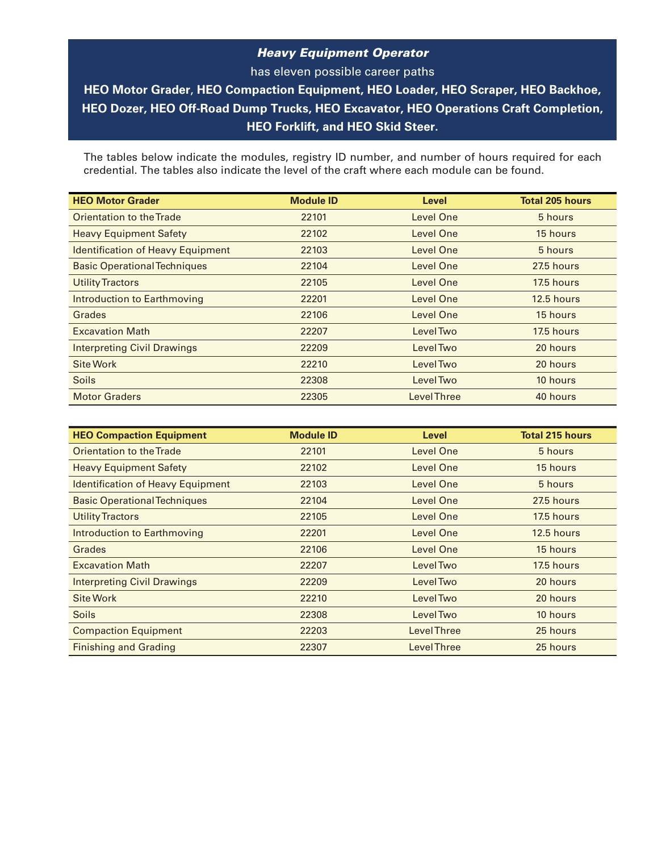## *Heavy Equipment Operator*

has eleven possible career paths **HEO Motor Grader**, **HEO Compaction Equipment, HEO Loader, HEO Scraper, HEO Backhoe, HEO Dozer, HEO Off-Road Dump Trucks, HEO Excavator, HEO Operations Craft Completion, HEO Forklift, and HEO Skid Steer.**

The tables below indicate the modules, registry ID number, and number of hours required for each credential. The tables also indicate the level of the craft where each module can be found.

| <b>HEO Motor Grader</b>                  | <b>Module ID</b> | Level             | <b>Total 205 hours</b> |
|------------------------------------------|------------------|-------------------|------------------------|
| Orientation to the Trade                 | 22101            | Level One         | 5 hours                |
| <b>Heavy Equipment Safety</b>            | 22102            | Level One         | 15 hours               |
| <b>Identification of Heavy Equipment</b> | 22103            | Level One         | 5 hours                |
| <b>Basic Operational Techniques</b>      | 22104            | Level One         | 27.5 hours             |
| <b>Utility Tractors</b>                  | 22105            | Level One         | 17.5 hours             |
| Introduction to Earthmoving              | 22201            | Level One         | 12.5 hours             |
| Grades                                   | 22106            | Level One         | 15 hours               |
| <b>Excavation Math</b>                   | 22207            | Level Two         | 17.5 hours             |
| <b>Interpreting Civil Drawings</b>       | 22209            | Level Two         | 20 hours               |
| <b>Site Work</b>                         | 22210            | Level Two         | 20 hours               |
| <b>Soils</b>                             | 22308            | Level Two         | 10 hours               |
| <b>Motor Graders</b>                     | 22305            | <b>LevelThree</b> | 40 hours               |

| <b>HEO Compaction Equipment</b>          | <b>Module ID</b> | <b>Level</b>       | <b>Total 215 hours</b> |
|------------------------------------------|------------------|--------------------|------------------------|
| Orientation to the Trade                 | 22101            | Level One          | 5 hours                |
| <b>Heavy Equipment Safety</b>            | 22102            | Level One          | 15 hours               |
| <b>Identification of Heavy Equipment</b> | 22103            | Level One          | 5 hours                |
| <b>Basic Operational Techniques</b>      | 22104            | Level One          | 27.5 hours             |
| <b>Utility Tractors</b>                  | 22105            | Level One          | 17.5 hours             |
| Introduction to Earthmoving              | 22201            | Level One          | 12.5 hours             |
| Grades                                   | 22106            | <b>Level One</b>   | 15 hours               |
| <b>Excavation Math</b>                   | 22207            | <b>LevelTwo</b>    | 17.5 hours             |
| <b>Interpreting Civil Drawings</b>       | 22209            | Level Two          | 20 hours               |
| <b>Site Work</b>                         | 22210            | Level Two          | 20 hours               |
| <b>Soils</b>                             | 22308            | Level Two          | 10 hours               |
| <b>Compaction Equipment</b>              | 22203            | <b>LevelThree</b>  | 25 hours               |
| <b>Finishing and Grading</b>             | 22307            | <b>Level Three</b> | 25 hours               |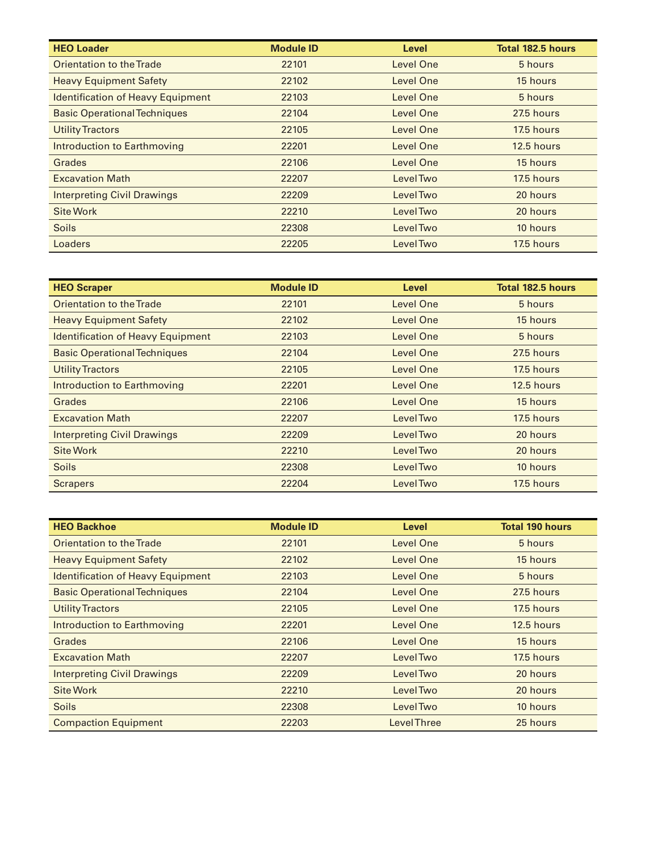| <b>HEO Loader</b>                        | <b>Module ID</b> | Level           | <b>Total 182.5 hours</b> |
|------------------------------------------|------------------|-----------------|--------------------------|
| Orientation to the Trade                 | 22101            | Level One       | 5 hours                  |
| <b>Heavy Equipment Safety</b>            | 22102            | Level One       | 15 hours                 |
| <b>Identification of Heavy Equipment</b> | 22103            | Level One       | 5 hours                  |
| <b>Basic Operational Techniques</b>      | 22104            | Level One       | 27.5 hours               |
| <b>Utility Tractors</b>                  | 22105            | Level One       | 17.5 hours               |
| Introduction to Earthmoving              | 22201            | Level One       | 12.5 hours               |
| Grades                                   | 22106            | Level One       | 15 hours                 |
| <b>Excavation Math</b>                   | 22207            | <b>LevelTwo</b> | 17.5 hours               |
| <b>Interpreting Civil Drawings</b>       | 22209            | Level Two       | 20 hours                 |
| <b>Site Work</b>                         | 22210            | Level Two       | 20 hours                 |
| <b>Soils</b>                             | 22308            | Level Two       | 10 hours                 |
| Loaders                                  | 22205            | Level Two       | 17.5 hours               |

| <b>HEO Scraper</b>                       | <b>Module ID</b> | Level           | Total 182.5 hours |
|------------------------------------------|------------------|-----------------|-------------------|
| Orientation to the Trade                 | 22101            | Level One       | 5 hours           |
| <b>Heavy Equipment Safety</b>            | 22102            | Level One       | 15 hours          |
| <b>Identification of Heavy Equipment</b> | 22103            | Level One       | 5 hours           |
| <b>Basic Operational Techniques</b>      | 22104            | Level One       | 27.5 hours        |
| <b>Utility Tractors</b>                  | 22105            | Level One       | 17.5 hours        |
| Introduction to Earthmoving              | 22201            | Level One       | 12.5 hours        |
| Grades                                   | 22106            | Level One       | 15 hours          |
| <b>Excavation Math</b>                   | 22207            | Level Two       | 17.5 hours        |
| <b>Interpreting Civil Drawings</b>       | 22209            | <b>LevelTwo</b> | 20 hours          |
| <b>Site Work</b>                         | 22210            | Level Two       | 20 hours          |
| <b>Soils</b>                             | 22308            | Level Two       | 10 hours          |
| <b>Scrapers</b>                          | 22204            | Level Two       | 17.5 hours        |

| <b>HEO Backhoe</b>                       | <b>Module ID</b> | Level             | <b>Total 190 hours</b> |
|------------------------------------------|------------------|-------------------|------------------------|
| Orientation to the Trade                 | 22101            | Level One         | 5 hours                |
| <b>Heavy Equipment Safety</b>            | 22102            | Level One         | 15 hours               |
| <b>Identification of Heavy Equipment</b> | 22103            | <b>Level One</b>  | 5 hours                |
| <b>Basic Operational Techniques</b>      | 22104            | <b>Level One</b>  | 27.5 hours             |
| <b>Utility Tractors</b>                  | 22105            | Level One         | 17.5 hours             |
| Introduction to Earthmoving              | 22201            | Level One         | 12.5 hours             |
| Grades                                   | 22106            | Level One         | 15 hours               |
| <b>Excavation Math</b>                   | 22207            | Level Two         | 17.5 hours             |
| <b>Interpreting Civil Drawings</b>       | 22209            | Level Two         | 20 hours               |
| <b>Site Work</b>                         | 22210            | Level Two         | 20 hours               |
| <b>Soils</b>                             | 22308            | Level Two         | 10 hours               |
| <b>Compaction Equipment</b>              | 22203            | <b>LevelThree</b> | 25 hours               |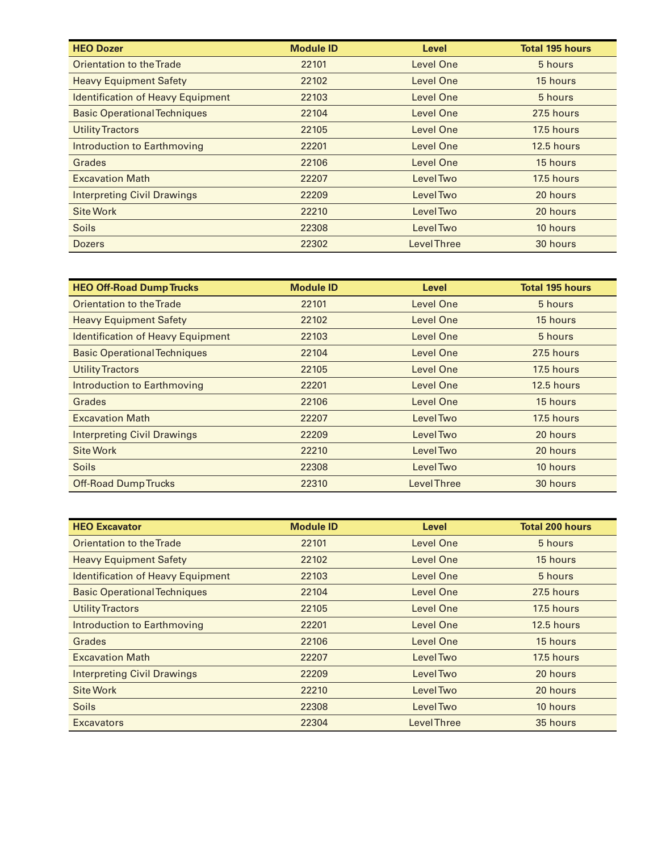| <b>HEO Dozer</b>                         | <b>Module ID</b> | <b>Level</b>      | <b>Total 195 hours</b> |
|------------------------------------------|------------------|-------------------|------------------------|
| Orientation to the Trade                 | 22101            | Level One         | 5 hours                |
| <b>Heavy Equipment Safety</b>            | 22102            | Level One         | 15 hours               |
| <b>Identification of Heavy Equipment</b> | 22103            | Level One         | 5 hours                |
| <b>Basic Operational Techniques</b>      | 22104            | Level One         | 27.5 hours             |
| <b>Utility Tractors</b>                  | 22105            | Level One         | 17.5 hours             |
| Introduction to Earthmoving              | 22201            | Level One         | 12.5 hours             |
| Grades                                   | 22106            | Level One         | 15 hours               |
| <b>Excavation Math</b>                   | 22207            | Level Two         | 17.5 hours             |
| <b>Interpreting Civil Drawings</b>       | 22209            | Level Two         | 20 hours               |
| <b>Site Work</b>                         | 22210            | Level Two         | 20 hours               |
| <b>Soils</b>                             | 22308            | Level Two         | 10 hours               |
| <b>Dozers</b>                            | 22302            | <b>LevelThree</b> | 30 hours               |

| <b>HEO Off-Road Dump Trucks</b>          | <b>Module ID</b> | Level              | <b>Total 195 hours</b> |
|------------------------------------------|------------------|--------------------|------------------------|
| Orientation to the Trade                 | 22101            | Level One          | 5 hours                |
| <b>Heavy Equipment Safety</b>            | 22102            | Level One          | 15 hours               |
| <b>Identification of Heavy Equipment</b> | 22103            | Level One          | 5 hours                |
| <b>Basic Operational Techniques</b>      | 22104            | Level One          | 27.5 hours             |
| <b>Utility Tractors</b>                  | 22105            | Level One          | 17.5 hours             |
| Introduction to Earthmoving              | 22201            | Level One          | 12.5 hours             |
| Grades                                   | 22106            | Level One          | 15 hours               |
| <b>Excavation Math</b>                   | 22207            | Level Two          | 17.5 hours             |
| <b>Interpreting Civil Drawings</b>       | 22209            | Level Two          | 20 hours               |
| <b>Site Work</b>                         | 22210            | Level Two          | 20 hours               |
| <b>Soils</b>                             | 22308            | Level Two          | 10 hours               |
| <b>Off-Road Dump Trucks</b>              | 22310            | <b>Level Three</b> | 30 hours               |

| <b>HEO Excavator</b>                     | <b>Module ID</b> | Level              | <b>Total 200 hours</b> |
|------------------------------------------|------------------|--------------------|------------------------|
| Orientation to the Trade                 | 22101            | Level One          | 5 hours                |
| <b>Heavy Equipment Safety</b>            | 22102            | Level One          | 15 hours               |
| <b>Identification of Heavy Equipment</b> | 22103            | Level One          | 5 hours                |
| <b>Basic Operational Techniques</b>      | 22104            | Level One          | 27.5 hours             |
| <b>Utility Tractors</b>                  | 22105            | Level One          | 17.5 hours             |
| Introduction to Earthmoving              | 22201            | Level One          | 12.5 hours             |
| Grades                                   | 22106            | Level One          | 15 hours               |
| <b>Excavation Math</b>                   | 22207            | Level Two          | 17.5 hours             |
| <b>Interpreting Civil Drawings</b>       | 22209            | Level Two          | 20 hours               |
| Site Work                                | 22210            | Level Two          | 20 hours               |
| <b>Soils</b>                             | 22308            | Level Two          | 10 hours               |
| <b>Excavators</b>                        | 22304            | <b>Level Three</b> | 35 hours               |